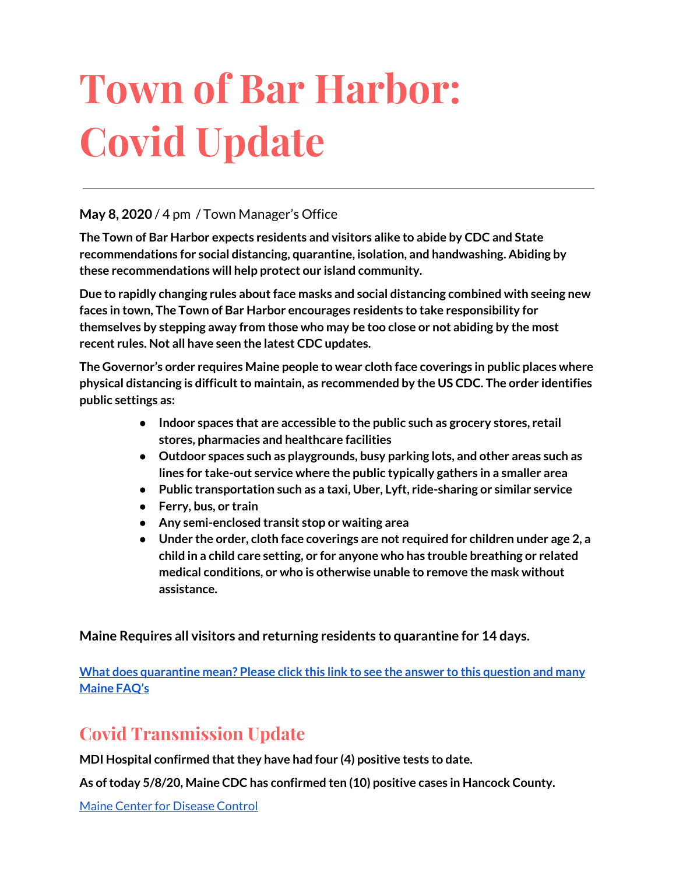# **Town of Bar Harbor: Covid Update**

#### **May 8, 2020** / 4 pm / Town Manager's Office

**The Town of Bar Harbor expects residents and visitors alike to abide by CDC and State recommendations for social distancing, quarantine, isolation, and handwashing. Abiding by these recommendations will help protect our island community.**

**Due to rapidly changing rules aboutface masks and social distancing combined with seeing new faces in town, The Town of Bar Harbor encourages residents to take responsibility for themselves by stepping away from those who may be too close or not abiding by the most recent rules. Not all have seen the latest CDC updates.**

**The Governor's order requires Maine people to wear cloth face coverings in public places where physical distancing is difficultto maintain, as recommended by the US CDC. The order identifies public settings as:**

- **● Indoor spaces that are accessible to the public such as grocery stores, retail stores, pharmacies and healthcare facilities**
- **● Outdoor spaces such as playgrounds, busy parking lots, and other areas such as lines for take-out service where the public typically gathers in a smaller area**
- **● Public transportation such as a taxi, Uber, Lyft, ride-sharing or similar service**
- **● Ferry, bus, or train**
- **● Any semi-enclosed transit stop or waiting area**
- **● Under the order, cloth face coverings are not required for children under age 2, a child in a child care setting, or for anyone who has trouble breathing or related medical conditions, or who is otherwise unable to remove the mask without assistance.**

**Maine Requires all visitors and returning residents to quarantine for 14 days.**

**What does [quarantine](https://www.maine.gov/dhhs/mecdc/infectious-disease/epi/airborne/coronavirus.shtml#faq) mean? Please click this link to see the answer to this question and many [Maine](https://www.maine.gov/dhhs/mecdc/infectious-disease/epi/airborne/coronavirus.shtml#faq) FAQ's**

# **Covid Transmission Update**

**MDI Hospital confirmed thatthey have had four (4) positive tests to date.**

**As oftoday 5/8/20, Maine CDC has confirmed ten (10) positive cases in Hancock County.**

Maine Center for [Disease](https://www.maine.gov/dhhs/mecdc/infectious-disease/epi/airborne/coronavirus.shtml) Control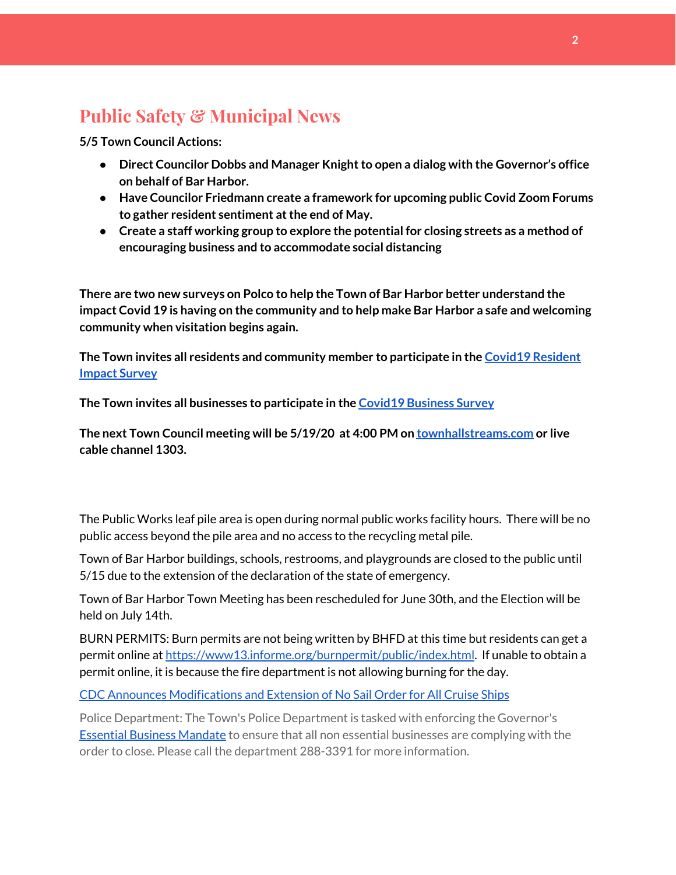# **Public Safety & Municipal News**

**5/5 Town Council Actions:**

- **• Direct Councilor Dobbs** and Manager Knight to open a dialog with the Governor's office **on behalf of Bar Harbor.**
- **● Have Councilor Friedmann create a framework for upcoming public Covid Zoom Forums to gather resident sentiment atthe end of May.**
- **● Create a staff working group to explore the potential for closing streets as a method of encouraging business and to accommodate social distancing**

**There are two new surveys on Polco to help the Town of Bar Harbor better understand the impact Covid 19 is having on the community and to help make Bar Harbor a safe and welcoming community when visitation begins again.**

**The Town invites all residents and community member to participate in the [C](https://polco.us/surveys/90178e75-6be4-45c6-819c-07052b97ab32?iid=9dedcb78-dd36-40ed-a81b-a88709e391cc)ovid19 [Resident](https://polco.us/surveys/90178e75-6be4-45c6-819c-07052b97ab32?iid=9dedcb78-dd36-40ed-a81b-a88709e391cc) [Impact](https://polco.us/surveys/90178e75-6be4-45c6-819c-07052b97ab32?iid=9dedcb78-dd36-40ed-a81b-a88709e391cc) Survey**

**The Town invites all businesses to participate in the Covid19 [Business](https://polco.us/surveys/96ab7f5d-a644-42b5-965d-f4a3d11c6ea7?iid=9dedcb78-dd36-40ed-a81b-a88709e391cc) Survey**

**The next Town Council meeting will be 5/19/20 at 4:00 PM on [townhallstreams.com](http://townhallstreams.com/) or live cable channel 1303.**

The Public Works leaf pile area is open during normal public works facility hours. There will be no public access beyond the pile area and no access to the recycling metal pile.

Town of Bar Harbor buildings, schools, restrooms, and playgrounds are closed to the public until 5/15 due to the extension of the declaration of the state of emergency.

Town of Bar Harbor Town Meeting has been rescheduled for June 30th, and the Election will be held on July 14th.

BURN PERMITS: Burn permits are not being written by BHFD at this time but residents can get a permit online at [https://www13.informe.org/burnpermit/public/index.html.](https://www13.informe.org/burnpermit/public/index.html) If unable to obtain a permit online, it is because the fire department is not allowing burning for the day.

CDC Announces [Modifications](https://www.cdc.gov/media/releases/2020/s0409-modifications-extension-no-sail-ships.html) and Extension of No Sail Order for All Cruise Ships

Police Department: The Town's Police Department is tasked with enforcing the Governor's Essential Business [Mandate](https://www.maine.gov/governor/mills/sites/maine.gov.governor.mills/files/inline-files/An%20Order%20Regarding%20Essential%20Businesses%20and%20Operations%20.pdf) to ensure that all non essential businesses are complying with the order to close. Please call the department 288-3391 for more information.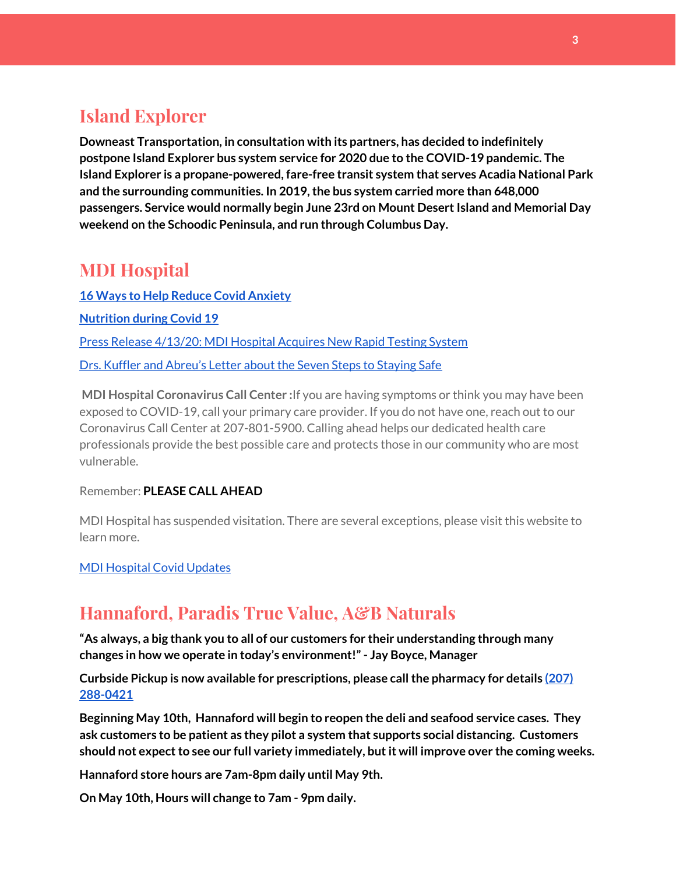## **Island Explorer**

**Downeast Transportation, in consultation with its partners, has decided to indefinitely postpone Island Explorer bus system service for 2020 due to the COVID-19 pandemic. The Island Explorer is a propane-powered, fare-free transit system that serves Acadia National Park and the surrounding communities. In 2019,the bus system carried more than 648,000 passengers. Service would normally begin June 23rd on Mount DesertIsland and Memorial Day weekend on the Schoodic Peninsula, and run through Columbus Day.**

#### **MDI Hospital**

**16 Ways to Help Reduce Covid [Anxiety](https://www.mdihospital.org/news/16-ways-to-help-reduce-covid-19-anxiety/) [Nutrition](https://www.mdihospital.org/news/16-ways-to-help-reduce-covid-19-anxiety/) during Covid 19** Press Release [4/13/20:](https://www.mdihospital.org/news/mount-desert-island-hospital-acquires-cepheid-genexpert-rapid-point-of-care-testing-system-for-the-new-coronavirus-and-many-other-infectious-diseases/) MDI Hospital Acquires New Rapid Testing System Drs. Kuffler and [Abreu's](https://www.mdislander.com/opinions/commentary-seven-steps-to-staying-safe) Letter about the Seven Steps to Staying Safe

**MDI Hospital Coronavirus Call Center :**If you are having symptoms or think you may have been exposed to COVID-19, call your primary care provider. If you do not have one, reach out to our Coronavirus Call Center at 207-801-5900. Calling ahead helps our dedicated health care professionals provide the best possible care and protects those in our community who are most vulnerable.

#### Remember: **PLEASE CALL AHEAD**

MDI Hospital has suspended visitation. There are several exceptions, please visit this website to learn more.

#### MDI [Hospital](https://www.mdihospital.org/covid-19/?fbclid=IwAR2Q31t4a6H1pxDfUeqSzFcmp5UbRlSwe93i58zEkHstfexp5EgoHB5cxGU) Covid Updates

#### **Hannaford, Paradis True Value, A&B Naturals**

**"As always, a big thank you to all of our customers for their understanding through many changes in how we operate in today's environment!"- Jay Boyce, Manager**

**Curbside Pickup is now available for prescriptions, please callthe pharmacy for details [\(207\)](https://www.google.com/search?client=firefox-b-1-d&q=hannaford+pharmacy+bar+harbor#) [288-0421](https://www.google.com/search?client=firefox-b-1-d&q=hannaford+pharmacy+bar+harbor#)**

**Beginning May 10th, Hannaford will begin to reopen the deli and seafood service cases. They ask customers to be patient as they pilot a system that supports social distancing. Customers should not expectto see our full variety immediately, butit will improve over the coming weeks.**

**Hannaford store hours are 7am-8pm daily until May 9th.**

**On May 10th, Hours will change to 7am - 9pm daily.**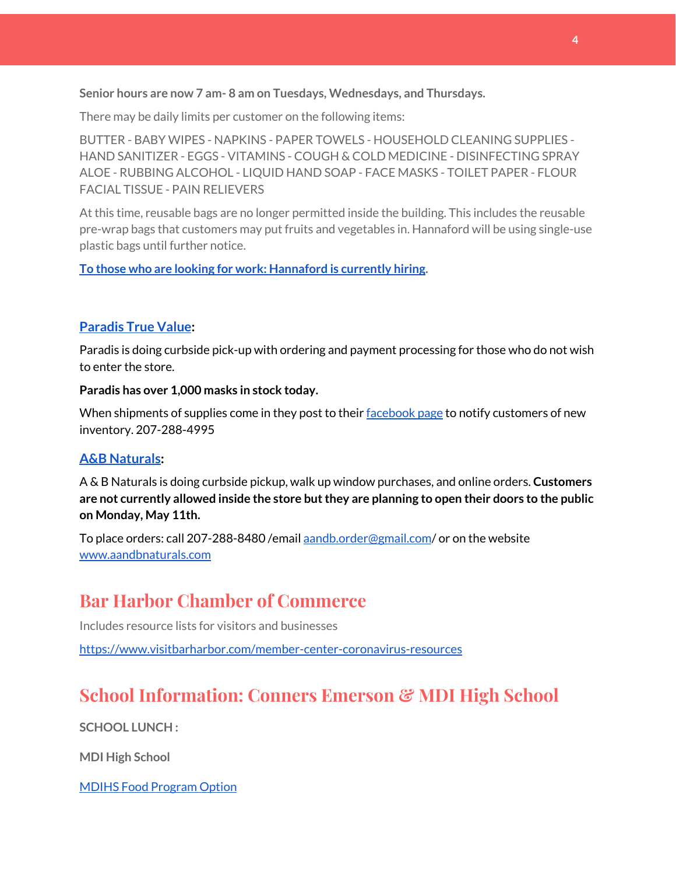**Senior hours are now 7 am- 8 am on Tuesdays, Wednesdays, and Thursdays.**

There may be daily limits per customer on the following items:

BUTTER - BABY WIPES - NAPKINS - PAPER TOWELS - HOUSEHOLD CLEANING SUPPLIES - HAND SANITIZER - EGGS - VITAMINS - COUGH & COLD MEDICINE - DISINFECTING SPRAY ALOE - RUBBING ALCOHOL - LIQUID HAND SOAP - FACE MASKS - TOILET PAPER - FLOUR FACIAL TISSUE - PAIN RELIEVERS

At this time, reusable bags are no longer permitted inside the building. This includes the reusable pre-wrap bags that customers may put fruits and vegetables in. Hannaford will be using single-use plastic bags until further notice.

**To those who are looking for work: [Hannaford](https://www.hannaford.com/about-us/careers) is currently hiring.**

#### **[Paradis](https://www.facebook.com/ParadisTrueValue/) True Value:**

Paradis is doing curbside pick-up with ordering and payment processing for those who do not wish to enter the store.

#### **Paradis has over 1,000 masks in stock today.**

When shipments of supplies come in they post to their [facebook](https://www.facebook.com/ParadisTrueValue/) page to notify customers of new inventory. 207-288-4995

#### **A&B [Naturals:](http://aandbnaturals.com/)**

A & B Naturals is doing curbside pickup, walk up window purchases, and online orders. **Customers are not currently allowed inside the store butthey are planning to open their doors to the public on Monday, May 11th.**

To place orders: call 207-288-8480 /email [aandb.order@gmail.com](mailto:aandb.order@gmail.com)/ or on the website [www.aandbnaturals.com](http://www.aandbnaturals.com/)

## **Bar Harbor Chamber of Commerce**

Includes resource lists for visitors and businesses

<https://www.visitbarharbor.com/member-center-coronavirus-resources>

## **School Information: Conners Emerson & MDI High School**

**SCHOOL LUNCH :**

**MDI High School**

MDIHS Food [Program](http://www.createsurvey.com/c/83380-7yUuuZ/) Option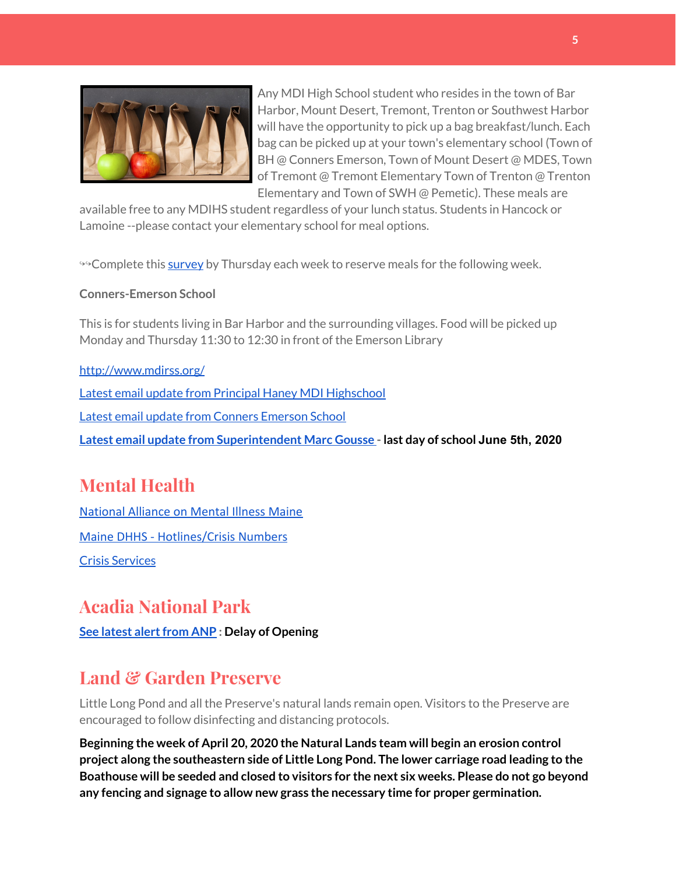

Any MDI High School student who resides in the town of Bar Harbor, Mount Desert, Tremont, Trenton or Southwest Harbor will have the opportunity to pick up a bag breakfast/lunch. Each bag can be picked up at your town's elementary school (Town of BH @ Conners Emerson, Town of Mount Desert @ MDES, Town of Tremont @ Tremont Elementary Town of Trenton @ Trenton Elementary and Town of SWH @ Pemetic). These meals are

available free to any MDIHS student regardless of your lunch status. Students in Hancock or Lamoine --please contact your elementary school for meal options.

<sup>→→</sup>Complete this [survey](http://www.createsurvey.com/c/83380-7yUuuZ/) by Thursday each week to reserve meals for the following week.

#### **Conners-Emerson School**

This is for students living in Bar Harbor and the surrounding villages. Food will be picked up Monday and Thursday 11:30 to 12:30 in front of the Emerson Library

#### <http://www.mdirss.org/>

Latest email update from Principal Haney MDI [Highschool](https://docs.google.com/document/d/1OKDsYNtOgV0FI9xAcXwQvenOKLV0S2vBg1o5jtu5CrE/edit?usp=sharing) Latest email update from Conners [Emerson](https://docs.google.com/document/d/1v3pgkG6Q-9S3gisuUIj4etPVDwgBKl4P00JBkvZr-kk/edit?usp=sharing) School

**Latest email update from [Superintendent](https://docs.google.com/document/d/1fzeCbc8gpTSKmUaDoQH1Avx5PVl-h0reFphXrT1eUNA/edit?usp=sharing) Marc Gousse - last day of school June 5th, 2020**

## **Mental Health**

[National Alliance on Mental Illness Maine](https://www.namimaine.org/) [Maine DHHS - Hotlines/Crisis Numbers](https://www.maine.gov/dhhs/hotlines.shtml) Crisis [Services](https://www.sweetser.org/programs-services/services-for-adults/crisis-services/)

## **Acadia National Park**

**See latest [alertfrom](https://www.nps.gov/acad/learn/news/delaying-start-up-operations.htm) ANP : Delay of Opening**

## **Land & Garden Preserve**

Little Long Pond and all the Preserve's natural lands remain open. Visitors to the Preserve are encouraged to follow disinfecting and distancing protocols.

**Beginning the week of April 20, 2020 the Natural Lands team will begin an erosion control project along the southeastern side of Little Long Pond. The lower carriage road leading to the Boathouse will be seeded and closed to visitors for the next six weeks. Please do not go beyond any fencing and signage to allow new grass the necessary time for proper germination.**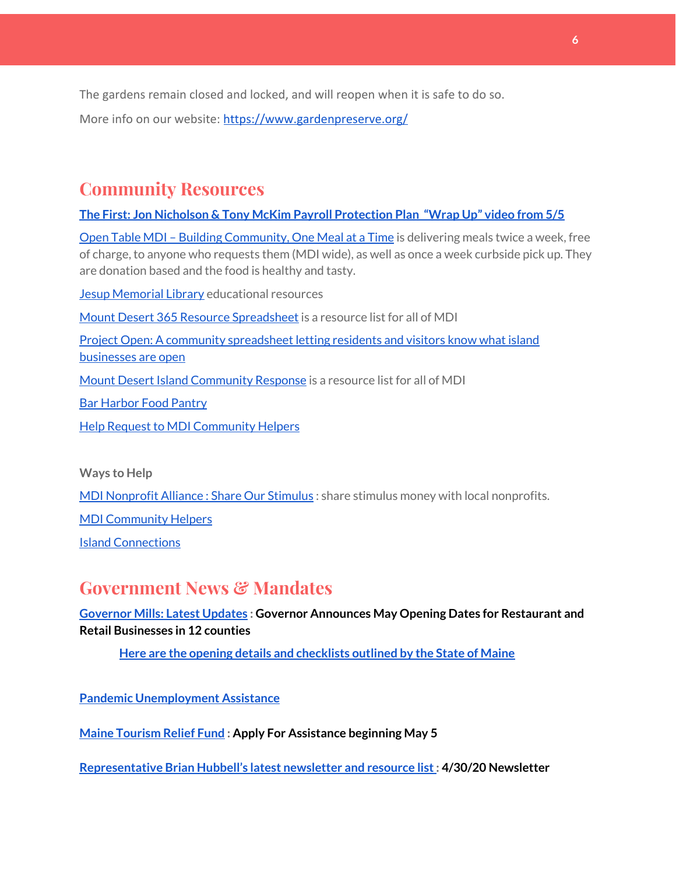The gardens remain closed and locked, and will reopen when it is safe to do so.

More info on our website: <https://www.gardenpreserve.org/>

## **Community Resources**

**The First: Jon Nicholson & Tony McKim Payroll [Protection](https://bit.ly/2WjDrd0) Plan "Wrap Up" video from 5/5**

Open Table MDI – Building [Community,](https://www.opentablemdi.org/) One Meal at a Time is delivering meals twice a week, free of charge, to anyone who requests them (MDI wide), as well as once a week curbside pick up. They are donation based and the food is healthy and tasty.

Jesup [Memorial](https://jesuplibrary.org/) Library educational resources

Mount Desert 365 Resource [Spreadsheet](https://docs.google.com/spreadsheets/d/1okAx6HSsgXZY9CGH07Dzi6rqe7a6m4dLCPKot2Li7Ek/edit?usp=sharing) is a resource list for all of MDI

Project Open: A community [spreadsheet](https://docs.google.com/spreadsheets/d/1dBicBiBXGzzWEFd9oqL7EBDbFWjDCPl6SSMea_Kt4pc/htmlview#) letting residents and visitors know what island [businesses](https://docs.google.com/spreadsheets/d/1dBicBiBXGzzWEFd9oqL7EBDbFWjDCPl6SSMea_Kt4pc/htmlview#) are open

Mount Desert Island [Community](https://www.mdicr.org/) Response is a resource list for all of MDI

Bar [Harbor](https://www.barharborfoodpantry.org/) Food Pantry

Help Request to MDI [Community](https://docs.google.com/forms/d/e/1FAIpQLSeZfu0tCcthHc9oL7tPomVRdniYiE7nbT_kkK9iCSRgqDhOvQ/viewform) Helpers

**Ways to Help**

MDI [Nonprofit](https://sites.google.com/mdina.org/public/sos-mdi?authuser=0) Alliance : Share Our Stimulus : share stimulus money with local nonprofits.

MDI [Community](https://docs.google.com/forms/d/e/1FAIpQLSe_CJUFdVvwJkmymWRqUeK8bx3m7n4uSOuUPYHqXSAyH2DBoQ/viewform?fbclid=IwAR25hjnWGhnMP0lOWMcBPRBumhtQCJGZO4hlk-T-VjNGZljL1kVX5pWrL6U) Helpers

**Island [Connections](http://islconnections.org/contact-us/)** 

#### **Government News & Mandates**

#### **[Governor](https://www.maine.gov/governor/mills/) Mills: Latest Updates : Governor Announces May Opening Dates for Restaurant and Retail Businesses in 12 counties**

**Here are the opening details and [checklists](https://www.maine.gov/decd/covid-19-prevention-checklists) outlined by the State of Maine**

**Pandemic [Unemployment](https://www.maine.gov/unemployment/pua/) Assistance**

**Maine [Tourism](https://www.mainetourism.com/maine-tourism-relief-fund/) Relief Fund : Apply For Assistance beginning May 5**

**[Representative](http://www.rephubbell.com/2020/04/30/april-30-2020-gradually-restarting-maines-economy/) Brian Hubbell's latest newsletter and resource list: 4/30/20 Newsletter**